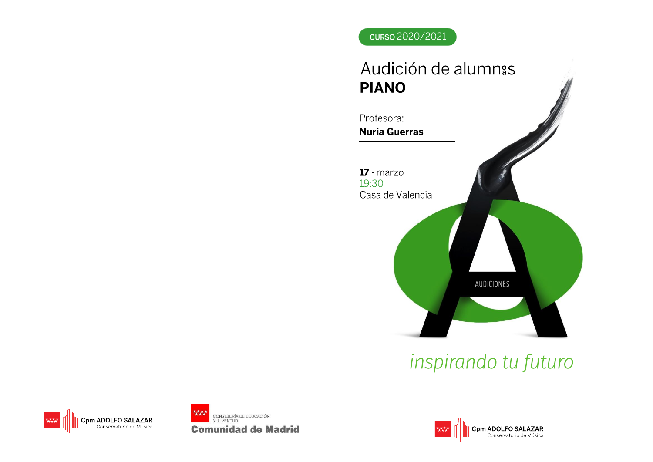### curso 2020/2021

## Audición de alumnas **PIANO**



# inspirando tu futuro